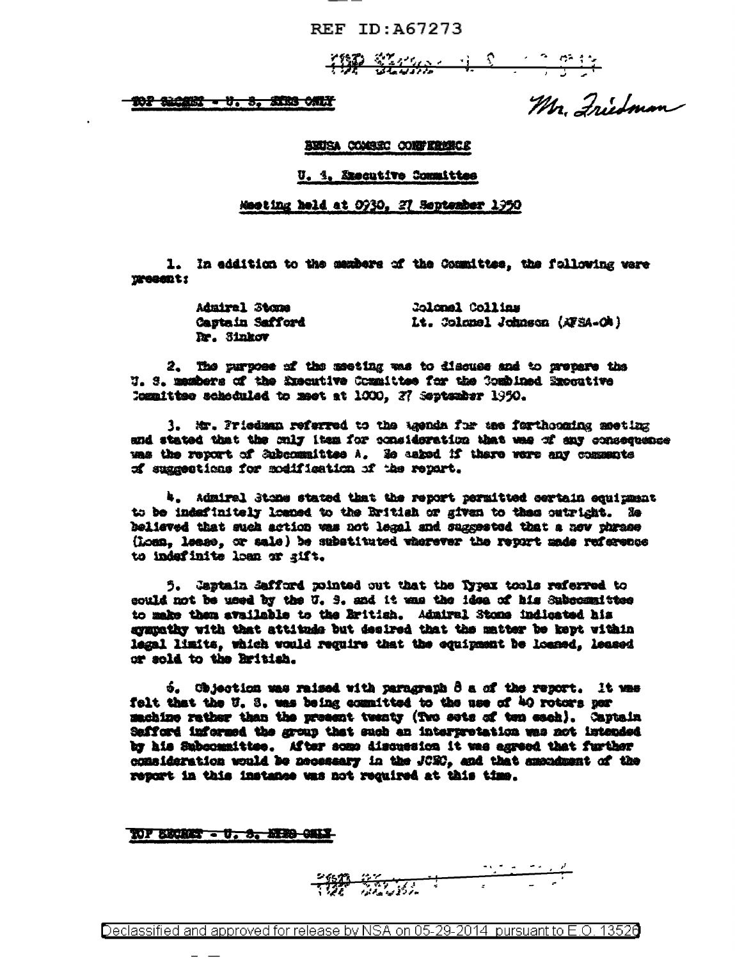REF ID: A67273

**TOP STARK ALL COMMANDS** 

102 SIGEN - U. S. STRS CALT

Mr. Friedman

BEUSA COASEC CORFERENCE

U. 1. Szecutive Committee

Meeting held at 0930, 27 September 1950

1. In eddition to the members of the Committee, the following vere **TERROR ES** 

> Admiral Stone Colonal Collins **Castain Safford** Lt. Colonel Johnson (AFSA-OA) Dr. Sinkov

2. The purpose of the meeting was to discuss and to prepare the U. S. massbers of the Knecutive Committee for the Combined Expositive Committee scheduled to meet at 1000, 27 September 1950.

3. Mr. Priedman referred to the agenda for tee farthcoming meeting and stated that the miy item for consideration that was of any consequence uas the report of Subcommittee A. Se asked if there were any comments of suggestions for modification of the report.

4. Admiral Stone stated that the report permitted certain equipment to be indefinitely losped to the Eritish or given to these outright. He believed that such action was not legal and suggested that a now phrase (Loss. lease, or sale) be substituted wherever the report made reference to indefinite loan or gift.

5. Captain Safford pointed out that the Typex tools referred to could not be used by the U. S. and it was the idea of his Subcommittee to make them available to the Eritish. Admiral Stone indicated his sympathy with that attitude but desired that the matter be kept within legal limits, which would require that the equipment be loaned, leased or sold to the British.

6. Chjectics was raised with paragraph 8 a of the report. It was felt that the U. 3. was being committed to the use of 40 rotors per machine rather than the present twenty (Two sets of ten each). Captain Safford informed the group that such an interpretation was not intended by his Subcommittee. After some discussion it was agreed that further consideration would be necessary in the JCRO, and that amondment of the report in this instance was not required at this time.

TOF BECKET - U. S. HERO-CHEM-

**READERS** 

Declassified and approved for release by NSA on 05-29-2014 pursuant to E.O. 13520